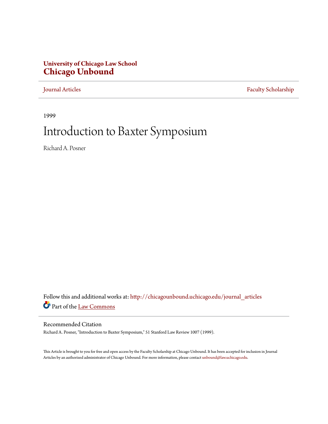## **University of Chicago Law School [Chicago Unbound](http://chicagounbound.uchicago.edu?utm_source=chicagounbound.uchicago.edu%2Fjournal_articles%2F2998&utm_medium=PDF&utm_campaign=PDFCoverPages)**

[Journal Articles](http://chicagounbound.uchicago.edu/journal_articles?utm_source=chicagounbound.uchicago.edu%2Fjournal_articles%2F2998&utm_medium=PDF&utm_campaign=PDFCoverPages) [Faculty Scholarship](http://chicagounbound.uchicago.edu/faculty_scholarship?utm_source=chicagounbound.uchicago.edu%2Fjournal_articles%2F2998&utm_medium=PDF&utm_campaign=PDFCoverPages)

1999

# Introduction to Baxter Symposium

Richard A. Posner

Follow this and additional works at: [http://chicagounbound.uchicago.edu/journal\\_articles](http://chicagounbound.uchicago.edu/journal_articles?utm_source=chicagounbound.uchicago.edu%2Fjournal_articles%2F2998&utm_medium=PDF&utm_campaign=PDFCoverPages) Part of the [Law Commons](http://network.bepress.com/hgg/discipline/578?utm_source=chicagounbound.uchicago.edu%2Fjournal_articles%2F2998&utm_medium=PDF&utm_campaign=PDFCoverPages)

#### Recommended Citation

Richard A. Posner, "Introduction to Baxter Symposium," 51 Stanford Law Review 1007 (1999).

This Article is brought to you for free and open access by the Faculty Scholarship at Chicago Unbound. It has been accepted for inclusion in Journal Articles by an authorized administrator of Chicago Unbound. For more information, please contact [unbound@law.uchicago.edu.](mailto:unbound@law.uchicago.edu)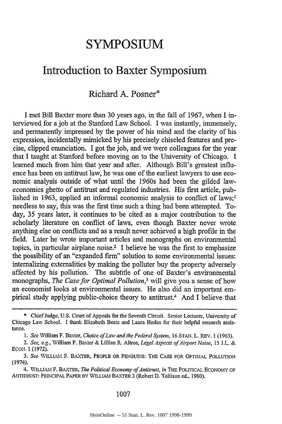## **SYMPOSIUM**

## **Introduction to Baxter Symposium**

### Richard **A.** Posner\*

I met Bill Baxter more than 30 years ago, in the fall of 1967, when I interviewed for a job at the Stanford Law School. I was instantly, immensely, and permanently impressed by the power of his mind and the clarity of his expression, incidentally mimicked by his precisely chiseled features and precise, clipped enunciation. I got the job, and we were colleagues for the year that I taught at Stanford before moving on to the University of Chicago. I learned much from him that year and after. Although Bill's greatest influence has been on antitrust law, he was one of the earliest lawyers to use economic analysis outside of what until the 1960s had been the gilded laweconomics ghetto of antitrust and regulated industries. His first article, published in 1963, applied an informal economic analysis to conflict of laws;<sup>1</sup> needless to say, this was the first time such a thing had been attempted. Today, 35 years later, it continues to be cited as a major contribution to the scholarly literature on conflict of laws, even though Baxter never wrote anything else on conflicts and as a result never achieved a high profile in the field. Later he wrote important articles and monographs on environmental topics, in particular airplane noise.2 I believe he was the first to emphasize the possibility of an "expanded firm" solution to some environmental issues: internalizing externalities by making the polluter buy the property adversely affected by his pollution. The subtitle of one of Baxter's environmental monographs, *The Case for Optimal Pollution,3* will give you a sense of how an economist looks at environmental issues. He also did an important empirical study applying public-choice theory to antitrust.4 And I believe that

#### 1007

<sup>\*</sup> Chief Judge, U.S. Court of Appeals for the Seventh Circuit. Senior Lecturer, University of Chicago Law School. I thank Elizabeth Beetz and Laura Hodes for their helpful research assistance.

*<sup>1.</sup> See* William F. Baxter, *Choice of Law and the Federal System,* 16 STAN. L. REv. 1 (1963).

*<sup>2.</sup> See, e.g.,* William F. Baxter & Lillian R. Altree, *Legal Aspects of Airport Noise, 15* J.L. & ECON. **I (1972).**

*<sup>3.</sup> See* WILLIAM F. BAXTER, PEOPLE OR **PENGUINS: THE CASE** FOR OPTIMAL **POLLUTION** (1974).

<sup>4.</sup> WILLIAM F. BAXTER, *The Political Economy of Antitrust, in* **THE** POLITICAL **ECONOMY OF** ANTITRUST: PRINCIPAL PAPER BY WILLIAM BAXTER 3 (Robert D. Tollison ed., 1980).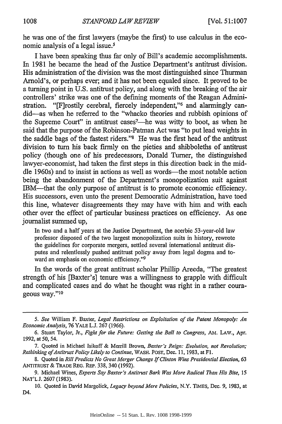he was one of the first lawyers (maybe the first) to use calculus in the economic analysis of a legal issue.5

I have been speaking thus far only of Bill's academic accomplishments. In 1981 he became the head of the Justice Department's antitrust division. His administration of the division was the most distinguished since Thurman Arnold's, or perhaps ever; and it has not been equaled since. It proved to be a turning point in U.S. antitrust policy, and along with the breaking of the air controllers' strike was one of the defining moments of the Reagan Administration. "[F]rostily cerebral, fiercely independent,"<sup>6</sup> and alarmingly candid-as when he referred to the "whacko theories and rubbish opinions of the Supreme Court" in antitrust cases<sup>7</sup>—he was witty to boot, as when he said that the purpose of the Robinson-Patman Act was "to put lead weights in the saddle bags of the fastest riders."<sup>8</sup> He was the first head of the antitrust division to turn his back firmly on the pieties and shibboleths of antitrust policy (though one of his predecessors, Donald Turner, the distinguished lawyer-economist, had taken the first steps in this direction back in the middle 1960s) and to insist in actions as well as words—the most notable action being the abandonment of the Department's monopolization suit against IBM-that the only purpose of antitrust is to promote economic efficiency. His successors, even unto the present Democratic Administration, have toed this line, whatever disagreements they may have with him and with each other over the effect of particular business practices on efficiency. As one journalist summed up,

In two and a half years at the Justice Department, the acerbic 53-year-old law professor disposed of the two largest monopolization suits in history, rewrote the guidelines for corporate mergers, settled several international antitrust disputes and relentlessly pushed antitrust policy away from legal dogma and toward an emphasis on economic efficiency."<sup>9</sup>

In the words of the great antitrust scholar Phillip Areeda, "The greatest strength of his [Baxter's] tenure was a willingness to grapple with difficult and complicated cases and do what he thought was right in a rather courageous way."'<sup>10</sup>

*<sup>5.</sup> See* William F. Baxter, *Legal Restrictions on Exploitation of the Patent Monopoly: An Economic Analysis,* 76 YALE **L.J. 267 (1966).**

<sup>6.</sup> Stuart Taylor, Jr., *Fight for the Future: Getting the Ball to Congress,* AM. LAW., Apr. **1992,** at *50, 54.*

**<sup>7.</sup>** Quoted in Michael Isikoff **&** Merrill Brown, *Baxter's Reign: Evolution, not Revolution; Rethinking ofAntitrust Policy Likely to Continue,* WASH. POST, Dec. **11, 1983,** at **Fl.**

**<sup>8.</sup>** Quoted in *Rill Predicts No Great Merger Change If Clinton Wins Presidential Election,* 63 **ANTITRUST &** TRADE REG. REP. **338,** 340 **(1992).**

**<sup>9.</sup>** Michael Wines, *Experts Say Baxter's Antitrust Bark Was More Radical Than His Bite, 15* **NAT'L J. 2607 (1983).**

**<sup>10.</sup>** Quoted in David Margolick, *Legacy beyond Mere Policies,* N.Y. **TIMES,** Dec. **9, 1983,** at D4.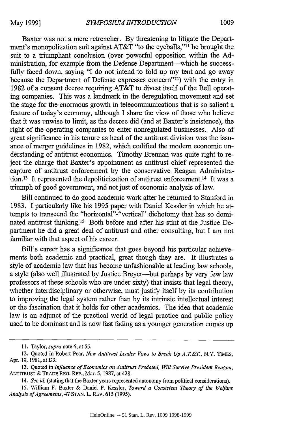Baxter was not a mere retrencher. By threatening to litigate the Department's monopolization suit against AT&T "to the eyeballs,"<sup>11</sup> he brought the suit to a triumphant conclusion (over powerful opposition within the Administration, for example from the Defense Department--which he successfully faced down, saying "I do not intend to fold up my tent and go away because the Department of Defense expresses concern"<sup>12</sup>) with the entry in 1982 of a consent decree requiring AT&T to divest itself of the Bell operating companies. This was a landmark in the deregulation movement and set the stage for the enormous growth in telecommunications that is so salient a feature of today's economy, although I share the view of those who believe that it was unwise to limit, as the decree did (and at Baxter's insistence), the right of the operating companies to enter nonregulated businesses. Also of great significance in his tenure as head of the antitrust division was the issuance of merger guidelines in 1982, which codified the modem economic understanding of antitrust economics. Timothy Brennan was quite right to reject the charge that Baxter's appointment as antitrust chief represented the capture of antitrust enforcement by the conservative Reagan Administration.<sup>13</sup> It represented the depoliticization of antitrust enforcement.<sup>14</sup> It was a triumph of good government, and not just of economic analysis of law.

Bill continued to do good academic work after he returned to Stanford in 1983. I particularly like his 1995 paper with Daniel Kessler in which he attempts to transcend the "horizontal"-"vertical" dichotomy that has so dominated antitrust thinking.'5 Both before and after his stint at the Justice Department he did a great deal of antitrust and other consulting, but I am not familiar with that aspect of his career.

Bill's career has a significance that goes beyond his particular achievements both academic and practical, great though they are. It illustrates a style of academic law that has become unfashionable at leading law schools, a style (also well illustrated by Justice Breyer-but perhaps by very few law professors at these schools who are under sixty) that insists that legal theory, whether interdisciplinary or otherwise, must justify itself by its contribution to improving the legal system rather than by its intrinsic intellectual interest or the fascination that it holds for other academics. The idea that academic law is an adjunct of the practical world of legal practice and public policy used to be dominant and is now fast fading as a younger generation comes up

**<sup>11.</sup>** Taylor, *supra* note 6, at 55.

<sup>12.</sup> Quoted in Robert Pear, *New Antitrust Leader Vows to Break Up A.T.&T.,* N.Y. TIMES, Apr. 10, 1981, at D3.

<sup>13.</sup> Quoted in *Ifluence of Economics on Antitrust Predated, Will Survive President Reagan,* **ANTITRUST** & TRADE REG. REP., Mar. *5,* 1987, at 428.

<sup>14.</sup> *See id.* (stating that the Baxter years represented autonomy from political considerations).

<sup>15.</sup> William F. Baxter & Daniel P. Kessler, *Toward a Consistent Theory of the Welfare Analysis ofAgreements,* 47 STAN. L. REv. 615 (1995).